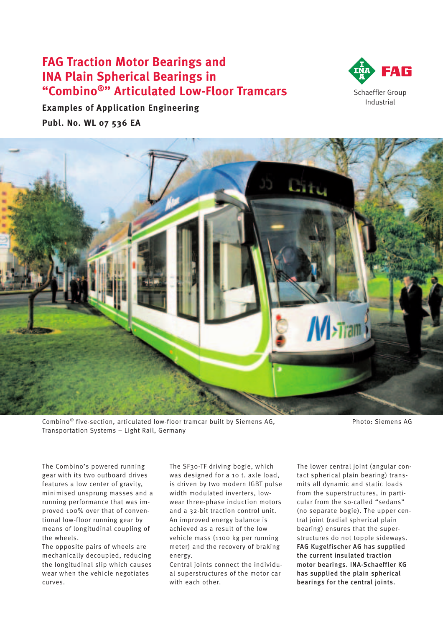# **FAG Traction Motor Bearings and INA Plain Spherical Bearings in "Combino<sup>®</sup>"** Articulated Low-Floor Tramcars Schaeffler Group



**Examples of Application Engineering Publ. No. WL 07 536 EA**



 $Combino<sup>®</sup> five-section, attributeded low-floor tramcar built by Siemens AG,  $PO^{\$}$  Photo: Siemens AG$ Transportation Systems – Light Rail, Germany

The Combino's powered running gear with its two outboard drives features a low center of gravity, minimised unsprung masses and a running performance that was improved 100% over that of conventional low-floor running gear by means of longitudinal coupling of the wheels.

The opposite pairs of wheels are mechanically decoupled, reducing the longitudinal slip which causes wear when the vehicle negotiates curves.

The SF30-TF driving bogie, which was designed for a 10 t. axle load, is driven by two modern IGBT pulse width modulated inverters, lowwear three-phase induction motors and a 32-bit traction control unit. An improved energy balance is achieved as a result of the low vehicle mass (1100 kg per running meter) and the recovery of braking energy.

Central joints connect the individual superstructures of the motor car with each other.

The lower central joint (angular contact spherical plain bearing) transmits all dynamic and static loads from the superstructures, in particular from the so-called "sedans" (no separate bogie). The upper central joint (radial spherical plain bearing) ensures that the superstructures do not topple sideways. FAG Kugelfischer AG has supplied the current insulated traction motor bearings. INA-Schaeffler KG has supplied the plain spherical bearings for the central joints.